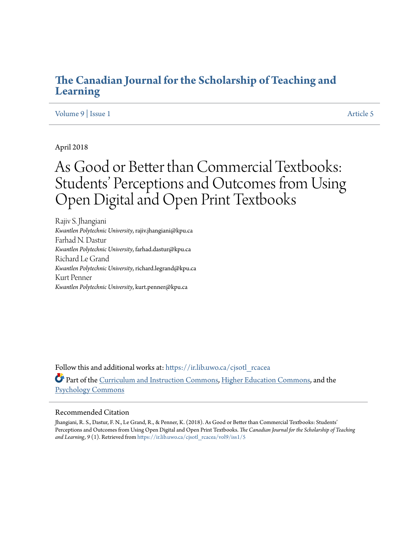## **[The Canadian Journal for the Scholarship of Teaching and](https://ir.lib.uwo.ca/cjsotl_rcacea?utm_source=ir.lib.uwo.ca%2Fcjsotl_rcacea%2Fvol9%2Fiss1%2F5&utm_medium=PDF&utm_campaign=PDFCoverPages) [Learning](https://ir.lib.uwo.ca/cjsotl_rcacea?utm_source=ir.lib.uwo.ca%2Fcjsotl_rcacea%2Fvol9%2Fiss1%2F5&utm_medium=PDF&utm_campaign=PDFCoverPages)**

## [Volume 9](https://ir.lib.uwo.ca/cjsotl_rcacea/vol9?utm_source=ir.lib.uwo.ca%2Fcjsotl_rcacea%2Fvol9%2Fiss1%2F5&utm_medium=PDF&utm_campaign=PDFCoverPages) | [Issue 1](https://ir.lib.uwo.ca/cjsotl_rcacea/vol9/iss1?utm_source=ir.lib.uwo.ca%2Fcjsotl_rcacea%2Fvol9%2Fiss1%2F5&utm_medium=PDF&utm_campaign=PDFCoverPages) [Article 5](https://ir.lib.uwo.ca/cjsotl_rcacea/vol9/iss1/5?utm_source=ir.lib.uwo.ca%2Fcjsotl_rcacea%2Fvol9%2Fiss1%2F5&utm_medium=PDF&utm_campaign=PDFCoverPages)

## April 2018

# As Good or Better than Commercial Textbooks: Students' Perceptions and Outcomes from Using Open Digital and Open Print Textbooks

Rajiv S. Jhangiani *Kwantlen Polytechnic University*, rajiv.jhangiani@kpu.ca Farhad N. Dastur *Kwantlen Polytechnic University*, farhad.dastur@kpu.ca Richard Le Grand *Kwantlen Polytechnic University*, richard.legrand@kpu.ca Kurt Penner *Kwantlen Polytechnic University*, kurt.penner@kpu.ca

Follow this and additional works at: [https://ir.lib.uwo.ca/cjsotl\\_rcacea](https://ir.lib.uwo.ca/cjsotl_rcacea?utm_source=ir.lib.uwo.ca%2Fcjsotl_rcacea%2Fvol9%2Fiss1%2F5&utm_medium=PDF&utm_campaign=PDFCoverPages) Part of the [Curriculum and Instruction Commons](http://network.bepress.com/hgg/discipline/786?utm_source=ir.lib.uwo.ca%2Fcjsotl_rcacea%2Fvol9%2Fiss1%2F5&utm_medium=PDF&utm_campaign=PDFCoverPages), [Higher Education Commons,](http://network.bepress.com/hgg/discipline/1245?utm_source=ir.lib.uwo.ca%2Fcjsotl_rcacea%2Fvol9%2Fiss1%2F5&utm_medium=PDF&utm_campaign=PDFCoverPages) and the [Psychology Commons](http://network.bepress.com/hgg/discipline/404?utm_source=ir.lib.uwo.ca%2Fcjsotl_rcacea%2Fvol9%2Fiss1%2F5&utm_medium=PDF&utm_campaign=PDFCoverPages)

#### Recommended Citation

Jhangiani, R. S., Dastur, F. N., Le Grand, R., & Penner, K. (2018). As Good or Better than Commercial Textbooks: Students' Perceptions and Outcomes from Using Open Digital and Open Print Textbooks. *The Canadian Journal for the Scholarship of Teaching* and Learning, 9(1). Retrieved from [https://ir.lib.uwo.ca/cjsotl\\_rcacea/vol9/iss1/5](https://ir.lib.uwo.ca/cjsotl_rcacea/vol9/iss1/5?utm_source=ir.lib.uwo.ca%2Fcjsotl_rcacea%2Fvol9%2Fiss1%2F5&utm_medium=PDF&utm_campaign=PDFCoverPages)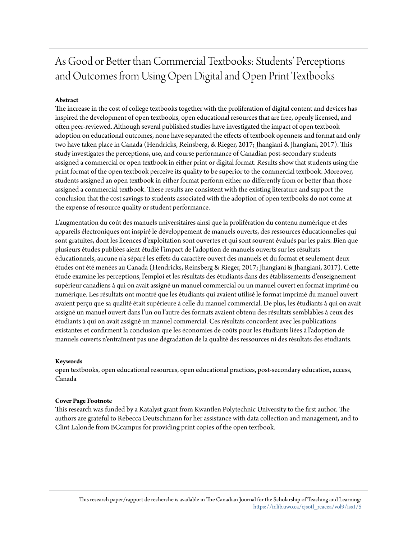## As Good or Better than Commercial Textbooks: Students' Perceptions and Outcomes from Using Open Digital and Open Print Textbooks

## **Abstract**

The increase in the cost of college textbooks together with the proliferation of digital content and devices has inspired the development of open textbooks, open educational resources that are free, openly licensed, and often peer-reviewed. Although several published studies have investigated the impact of open textbook adoption on educational outcomes, none have separated the effects of textbook openness and format and only two have taken place in Canada (Hendricks, Reinsberg, & Rieger, 2017; Jhangiani & Jhangiani, 2017). This study investigates the perceptions, use, and course performance of Canadian post-secondary students assigned a commercial or open textbook in either print or digital format. Results show that students using the print format of the open textbook perceive its quality to be superior to the commercial textbook. Moreover, students assigned an open textbook in either format perform either no differently from or better than those assigned a commercial textbook. These results are consistent with the existing literature and support the conclusion that the cost savings to students associated with the adoption of open textbooks do not come at the expense of resource quality or student performance.

L'augmentation du coût des manuels universitaires ainsi que la prolifération du contenu numérique et des appareils électroniques ont inspiré le développement de manuels ouverts, des ressources éducationnelles qui sont gratuites, dont les licences d'exploitation sont ouvertes et qui sont souvent évalués par les pairs. Bien que plusieurs études publiées aient étudié l'impact de l'adoption de manuels ouverts sur les résultats éducationnels, aucune n'a séparé les effets du caractère ouvert des manuels et du format et seulement deux études ont été menées au Canada (Hendricks, Reinsberg & Rieger, 2017; Jhangiani & Jhangiani, 2017). Cette étude examine les perceptions, l'emploi et les résultats des étudiants dans des établissements d'enseignement supérieur canadiens à qui on avait assigné un manuel commercial ou un manuel ouvert en format imprimé ou numérique. Les résultats ont montré que les étudiants qui avaient utilisé le format imprimé du manuel ouvert avaient perçu que sa qualité était supérieure à celle du manuel commercial. De plus, les étudiants à qui on avait assigné un manuel ouvert dans l'un ou l'autre des formats avaient obtenu des résultats semblables à ceux des étudiants à qui on avait assigné un manuel commercial. Ces résultats concordent avec les publications existantes et confirment la conclusion que les économies de coûts pour les étudiants liées à l'adoption de manuels ouverts n'entraînent pas une dégradation de la qualité des ressources ni des résultats des étudiants.

#### **Keywords**

open textbooks, open educational resources, open educational practices, post-secondary education, access, Canada

#### **Cover Page Footnote**

This research was funded by a Katalyst grant from Kwantlen Polytechnic University to the first author. The authors are grateful to Rebecca Deutschmann for her assistance with data collection and management, and to Clint Lalonde from BCcampus for providing print copies of the open textbook.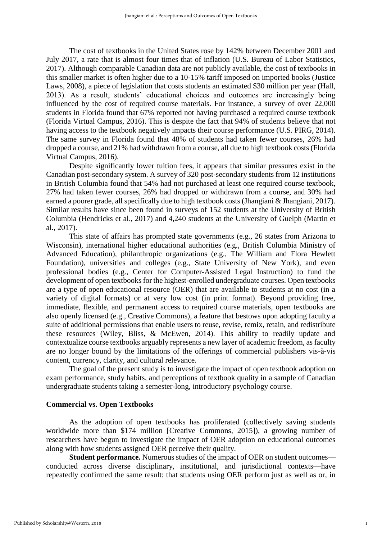The cost of textbooks in the United States rose by 142% between December 2001 and July 2017, a rate that is almost four times that of inflation (U.S. Bureau of Labor Statistics, 2017). Although comparable Canadian data are not publicly available, the cost of textbooks in this smaller market is often higher due to a 10-15% tariff imposed on imported books (Justice Laws, 2008), a piece of legislation that costs students an estimated \$30 million per year (Hall, 2013). As a result, students' educational choices and outcomes are increasingly being influenced by the cost of required course materials. For instance, a survey of over 22,000 students in Florida found that 67% reported not having purchased a required course textbook (Florida Virtual Campus, 2016). This is despite the fact that 94% of students believe that not having access to the textbook negatively impacts their course performance (U.S. PIRG, 2014). The same survey in Florida found that 48% of students had taken fewer courses, 26% had dropped a course, and 21% had withdrawn from a course, all due to high textbook costs (Florida Virtual Campus, 2016).

Despite significantly lower tuition fees, it appears that similar pressures exist in the Canadian post-secondary system. A survey of 320 post-secondary students from 12 institutions in British Columbia found that 54% had not purchased at least one required course textbook, 27% had taken fewer courses, 26% had dropped or withdrawn from a course, and 30% had earned a poorer grade, all specifically due to high textbook costs (Jhangiani & Jhangiani, 2017). Similar results have since been found in surveys of 152 students at the University of British Columbia (Hendricks et al., 2017) and 4,240 students at the University of Guelph (Martin et al., 2017).

This state of affairs has prompted state governments (e.g., 26 states from Arizona to Wisconsin), international higher educational authorities (e.g., British Columbia Ministry of Advanced Education), philanthropic organizations (e.g., The William and Flora Hewlett Foundation), universities and colleges (e.g., State University of New York), and even professional bodies (e.g., Center for Computer-Assisted Legal Instruction) to fund the development of open textbooks for the highest-enrolled undergraduate courses. Open textbooks are a type of open educational resource (OER) that are available to students at no cost (in a variety of digital formats) or at very low cost (in print format). Beyond providing free, immediate, flexible, and permanent access to required course materials, open textbooks are also openly licensed (e.g., Creative Commons), a feature that bestows upon adopting faculty a suite of additional permissions that enable users to reuse, revise, remix, retain, and redistribute these resources (Wiley, Bliss, & McEwen, 2014). This ability to readily update and contextualize course textbooks arguably represents a new layer of academic freedom, as faculty are no longer bound by the limitations of the offerings of commercial publishers vis-à-vis content, currency, clarity, and cultural relevance.

The goal of the present study is to investigate the impact of open textbook adoption on exam performance, study habits, and perceptions of textbook quality in a sample of Canadian undergraduate students taking a semester-long, introductory psychology course.

## **Commercial vs. Open Textbooks**

As the adoption of open textbooks has proliferated (collectively saving students worldwide more than \$174 million [Creative Commons, 2015]), a growing number of researchers have begun to investigate the impact of OER adoption on educational outcomes along with how students assigned OER perceive their quality.

**Student performance.** Numerous studies of the impact of OER on student outcomes conducted across diverse disciplinary, institutional, and jurisdictional contexts—have repeatedly confirmed the same result: that students using OER perform just as well as or, in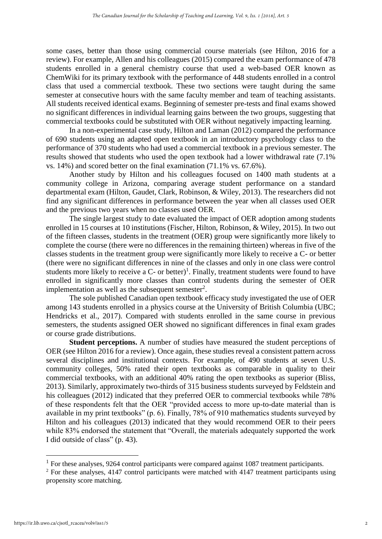some cases, better than those using commercial course materials (see Hilton, 2016 for a review). For example, Allen and his colleagues (2015) compared the exam performance of 478 students enrolled in a general chemistry course that used a web-based OER known as ChemWiki for its primary textbook with the performance of 448 students enrolled in a control class that used a commercial textbook. These two sections were taught during the same semester at consecutive hours with the same faculty member and team of teaching assistants. All students received identical exams. Beginning of semester pre-tests and final exams showed no significant differences in individual learning gains between the two groups, suggesting that commercial textbooks could be substituted with OER without negatively impacting learning.

In a non-experimental case study, Hilton and Laman (2012) compared the performance of 690 students using an adapted open textbook in an introductory psychology class to the performance of 370 students who had used a commercial textbook in a previous semester. The results showed that students who used the open textbook had a lower withdrawal rate (7.1% vs. 14%) and scored better on the final examination (71.1% vs. 67.6%).

Another study by Hilton and his colleagues focused on 1400 math students at a community college in Arizona, comparing average student performance on a standard departmental exam (Hilton, Gaudet, Clark, Robinson, & Wiley, 2013). The researchers did not find any significant differences in performance between the year when all classes used OER and the previous two years when no classes used OER.

The single largest study to date evaluated the impact of OER adoption among students enrolled in 15 courses at 10 institutions (Fischer, Hilton, Robinson, & Wiley, 2015). In two out of the fifteen classes, students in the treatment (OER) group were significantly more likely to complete the course (there were no differences in the remaining thirteen) whereas in five of the classes students in the treatment group were significantly more likely to receive a C- or better (there were no significant differences in nine of the classes and only in one class were control students more likely to receive a  $C$ - or better)<sup>1</sup>. Finally, treatment students were found to have enrolled in significantly more classes than control students during the semester of OER implementation as well as the subsequent semester<sup>2</sup>.

The sole published Canadian open textbook efficacy study investigated the use of OER among 143 students enrolled in a physics course at the University of British Columbia (UBC; Hendricks et al., 2017). Compared with students enrolled in the same course in previous semesters, the students assigned OER showed no significant differences in final exam grades or course grade distributions.

**Student perceptions.** A number of studies have measured the student perceptions of OER (see Hilton 2016 for a review). Once again, these studies reveal a consistent pattern across several disciplines and institutional contexts. For example, of 490 students at seven U.S. community colleges, 50% rated their open textbooks as comparable in quality to their commercial textbooks, with an additional 40% rating the open textbooks as superior (Bliss, 2013). Similarly, approximately two-thirds of 315 business students surveyed by Feldstein and his colleagues (2012) indicated that they preferred OER to commercial textbooks while 78% of these respondents felt that the OER "provided access to more up-to-date material than is available in my print textbooks" (p. 6). Finally, 78% of 910 mathematics students surveyed by Hilton and his colleagues (2013) indicated that they would recommend OER to their peers while 83% endorsed the statement that "Overall, the materials adequately supported the work I did outside of class" (p. 43).

<sup>&</sup>lt;sup>1</sup> For these analyses, 9264 control participants were compared against 1087 treatment participants.

<sup>&</sup>lt;sup>2</sup> For these analyses, 4147 control participants were matched with 4147 treatment participants using propensity score matching.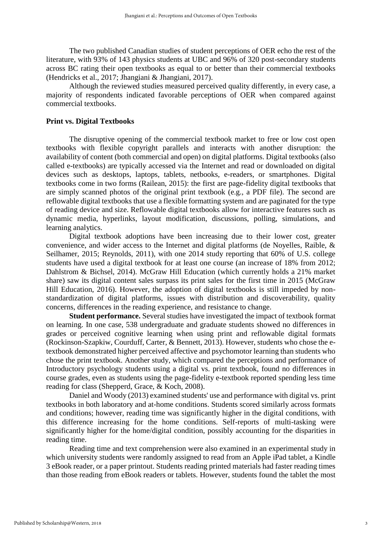The two published Canadian studies of student perceptions of OER echo the rest of the literature, with 93% of 143 physics students at UBC and 96% of 320 post-secondary students across BC rating their open textbooks as equal to or better than their commercial textbooks (Hendricks et al., 2017; Jhangiani & Jhangiani, 2017).

Although the reviewed studies measured perceived quality differently, in every case, a majority of respondents indicated favorable perceptions of OER when compared against commercial textbooks.

#### **Print vs. Digital Textbooks**

The disruptive opening of the commercial textbook market to free or low cost open textbooks with flexible copyright parallels and interacts with another disruption: the availability of content (both commercial and open) on digital platforms. Digital textbooks (also called e-textbooks) are typically accessed via the Internet and read or downloaded on digital devices such as desktops, laptops, tablets, netbooks, e-readers, or smartphones. Digital textbooks come in two forms (Railean, 2015): the first are page-fidelity digital textbooks that are simply scanned photos of the original print textbook (e.g., a PDF file). The second are reflowable digital textbooks that use a flexible formatting system and are paginated for the type of reading device and size. Reflowable digital textbooks allow for interactive features such as dynamic media, hyperlinks, layout modification, discussions, polling, simulations, and learning analytics.

Digital textbook adoptions have been increasing due to their lower cost, greater convenience, and wider access to the Internet and digital platforms (de Noyelles, Raible, & Seilhamer, 2015; Reynolds, 2011), with one 2014 study reporting that 60% of U.S. college students have used a digital textbook for at least one course (an increase of 18% from 2012; Dahlstrom & Bichsel, 2014). McGraw Hill Education (which currently holds a 21% market share) saw its digital content sales surpass its print sales for the first time in 2015 (McGraw Hill Education, 2016). However, the adoption of digital textbooks is still impeded by nonstandardization of digital platforms, issues with distribution and discoverability, quality concerns, differences in the reading experience, and resistance to change.

**Student performance.** Several studies have investigated the impact of textbook format on learning. In one case, 538 undergraduate and graduate students showed no differences in grades or perceived cognitive learning when using print and reflowable digital formats (Rockinson-Szapkiw, Courduff, Carter, & Bennett, 2013). However, students who chose the etextbook demonstrated higher perceived affective and psychomotor learning than students who chose the print textbook. Another study, which compared the perceptions and performance of Introductory psychology students using a digital vs. print textbook, found no differences in course grades, even as students using the page-fidelity e-textbook reported spending less time reading for class (Shepperd, Grace, & Koch, 2008).

Daniel and Woody (2013) examined students' use and performance with digital vs. print textbooks in both laboratory and at-home conditions. Students scored similarly across formats and conditions; however, reading time was significantly higher in the digital conditions, with this difference increasing for the home conditions. Self-reports of multi-tasking were significantly higher for the home/digital condition, possibly accounting for the disparities in reading time.

Reading time and text comprehension were also examined in an experimental study in which university students were randomly assigned to read from an Apple iPad tablet, a Kindle 3 eBook reader, or a paper printout. Students reading printed materials had faster reading times than those reading from eBook readers or tablets. However, students found the tablet the most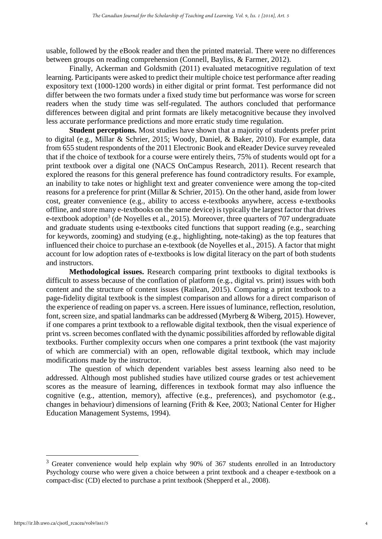usable, followed by the eBook reader and then the printed material. There were no differences between groups on reading comprehension (Connell, Bayliss, & Farmer, 2012).

Finally, Ackerman and Goldsmith (2011) evaluated metacognitive regulation of text learning. Participants were asked to predict their multiple choice test performance after reading expository text (1000-1200 words) in either digital or print format. Test performance did not differ between the two formats under a fixed study time but performance was worse for screen readers when the study time was self-regulated. The authors concluded that performance differences between digital and print formats are likely metacognitive because they involved less accurate performance predictions and more erratic study time regulation.

**Student perceptions.** Most studies have shown that a majority of students prefer print to digital (e.g., Millar & Schrier, 2015; Woody, Daniel, & Baker, 2010). For example, data from 655 student respondents of the 2011 Electronic Book and eReader Device survey revealed that if the choice of textbook for a course were entirely theirs, 75% of students would opt for a print textbook over a digital one (NACS OnCampus Research, 2011). Recent research that explored the reasons for this general preference has found contradictory results. For example, an inability to take notes or highlight text and greater convenience were among the top-cited reasons for a preference for print (Millar & Schrier, 2015). On the other hand, aside from lower cost, greater convenience (e.g., ability to access e-textbooks anywhere, access e-textbooks offline, and store many e-textbooks on the same device) is typically the largest factor that drives e-textbook adoption<sup>3</sup> (de Noyelles et al., 2015). Moreover, three quarters of 707 undergraduate and graduate students using e-textbooks cited functions that support reading (e.g., searching for keywords, zooming) and studying (e.g., highlighting, note-taking) as the top features that influenced their choice to purchase an e-textbook (de Noyelles et al., 2015). A factor that might account for low adoption rates of e-textbooks is low digital literacy on the part of both students and instructors.

**Methodological issues.** Research comparing print textbooks to digital textbooks is difficult to assess because of the conflation of platform (e.g., digital vs. print) issues with both content and the structure of content issues (Railean, 2015). Comparing a print textbook to a page-fidelity digital textbook is the simplest comparison and allows for a direct comparison of the experience of reading on paper vs. a screen. Here issues of luminance, reflection, resolution, font, screen size, and spatial landmarks can be addressed (Myrberg & Wiberg, 2015). However, if one compares a print textbook to a reflowable digital textbook, then the visual experience of print vs. screen becomes conflated with the dynamic possibilities afforded by reflowable digital textbooks. Further complexity occurs when one compares a print textbook (the vast majority of which are commercial) with an open, reflowable digital textbook, which may include modifications made by the instructor.

The question of which dependent variables best assess learning also need to be addressed. Although most published studies have utilized course grades or test achievement scores as the measure of learning, differences in textbook format may also influence the cognitive (e.g., attention, memory), affective (e.g., preferences), and psychomotor (e.g., changes in behaviour) dimensions of learning (Frith & Kee, 2003; National Center for Higher Education Management Systems, 1994).

<sup>&</sup>lt;sup>3</sup> Greater convenience would help explain why 90% of 367 students enrolled in an Introductory Psychology course who were given a choice between a print textbook and a cheaper e-textbook on a compact-disc (CD) elected to purchase a print textbook (Shepperd et al., 2008).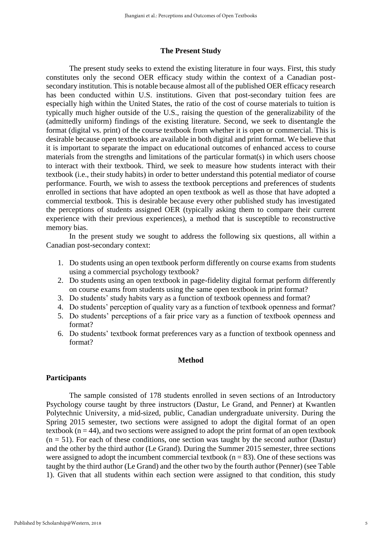#### **The Present Study**

The present study seeks to extend the existing literature in four ways. First, this study constitutes only the second OER efficacy study within the context of a Canadian postsecondary institution. This is notable because almost all of the published OER efficacy research has been conducted within U.S. institutions. Given that post-secondary tuition fees are especially high within the United States, the ratio of the cost of course materials to tuition is typically much higher outside of the U.S., raising the question of the generalizability of the (admittedly uniform) findings of the existing literature. Second, we seek to disentangle the format (digital vs. print) of the course textbook from whether it is open or commercial. This is desirable because open textbooks are available in both digital and print format. We believe that it is important to separate the impact on educational outcomes of enhanced access to course materials from the strengths and limitations of the particular format(s) in which users choose to interact with their textbook. Third, we seek to measure how students interact with their textbook (i.e., their study habits) in order to better understand this potential mediator of course performance. Fourth, we wish to assess the textbook perceptions and preferences of students enrolled in sections that have adopted an open textbook as well as those that have adopted a commercial textbook. This is desirable because every other published study has investigated the perceptions of students assigned OER (typically asking them to compare their current experience with their previous experiences), a method that is susceptible to reconstructive memory bias.

In the present study we sought to address the following six questions, all within a Canadian post-secondary context:

- 1. Do students using an open textbook perform differently on course exams from students using a commercial psychology textbook?
- 2. Do students using an open textbook in page-fidelity digital format perform differently on course exams from students using the same open textbook in print format?
- 3. Do students' study habits vary as a function of textbook openness and format?
- 4. Do students' perception of quality vary as a function of textbook openness and format?
- 5. Do students' perceptions of a fair price vary as a function of textbook openness and format?
- 6. Do students' textbook format preferences vary as a function of textbook openness and format?

## **Method**

#### **Participants**

The sample consisted of 178 students enrolled in seven sections of an Introductory Psychology course taught by three instructors (Dastur, Le Grand, and Penner) at Kwantlen Polytechnic University, a mid-sized, public, Canadian undergraduate university. During the Spring 2015 semester, two sections were assigned to adopt the digital format of an open textbook ( $n = 44$ ), and two sections were assigned to adopt the print format of an open textbook  $(n = 51)$ . For each of these conditions, one section was taught by the second author (Dastur) and the other by the third author (Le Grand). During the Summer 2015 semester, three sections were assigned to adopt the incumbent commercial textbook ( $n = 83$ ). One of these sections was taught by the third author (Le Grand) and the other two by the fourth author (Penner) (see Table 1). Given that all students within each section were assigned to that condition, this study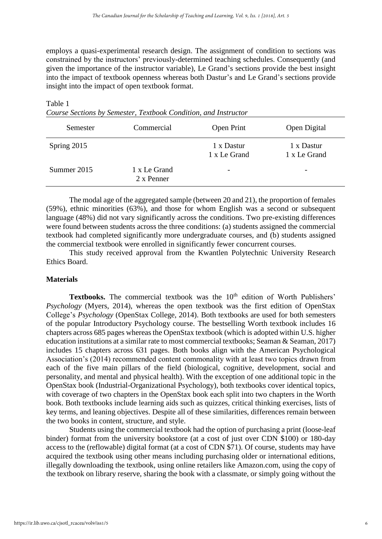employs a quasi-experimental research design. The assignment of condition to sections was constrained by the instructors' previously-determined teaching schedules. Consequently (and given the importance of the instructor variable), Le Grand's sections provide the best insight into the impact of textbook openness whereas both Dastur's and Le Grand's sections provide insight into the impact of open textbook format.

Table 1

| Semester    | Commercial                 | Open Print                 | Open Digital               |  |  |
|-------------|----------------------------|----------------------------|----------------------------|--|--|
| Spring 2015 |                            | 1 x Dastur<br>1 x Le Grand | 1 x Dastur<br>1 x Le Grand |  |  |
| Summer 2015 | 1 x Le Grand<br>2 x Penner | $\overline{\phantom{a}}$   | -                          |  |  |

*Course Sections by Semester, Textbook Condition, and Instructor*

The modal age of the aggregated sample (between 20 and 21), the proportion of females (59%), ethnic minorities (63%), and those for whom English was a second or subsequent language (48%) did not vary significantly across the conditions. Two pre-existing differences were found between students across the three conditions: (a) students assigned the commercial textbook had completed significantly more undergraduate courses, and (b) students assigned the commercial textbook were enrolled in significantly fewer concurrent courses.

This study received approval from the Kwantlen Polytechnic University Research Ethics Board.

## **Materials**

Textbooks. The commercial textbook was the 10<sup>th</sup> edition of Worth Publishers' *Psychology* (Myers, 2014), whereas the open textbook was the first edition of OpenStax College's *Psychology* (OpenStax College, 2014). Both textbooks are used for both semesters of the popular Introductory Psychology course. The bestselling Worth textbook includes 16 chapters across 685 pages whereas the OpenStax textbook (which is adopted within U.S. higher education institutions at a similar rate to most commercial textbooks; Seaman & Seaman, 2017) includes 15 chapters across 631 pages. Both books align with the American Psychological Association's (2014) recommended content commonality with at least two topics drawn from each of the five main pillars of the field (biological, cognitive, development, social and personality, and mental and physical health). With the exception of one additional topic in the OpenStax book (Industrial-Organizational Psychology), both textbooks cover identical topics, with coverage of two chapters in the OpenStax book each split into two chapters in the Worth book. Both textbooks include learning aids such as quizzes, critical thinking exercises, lists of key terms, and leaning objectives. Despite all of these similarities, differences remain between the two books in content, structure, and style.

Students using the commercial textbook had the option of purchasing a print (loose-leaf binder) format from the university bookstore (at a cost of just over CDN \$100) or 180-day access to the (reflowable) digital format (at a cost of CDN \$71). Of course, students may have acquired the textbook using other means including purchasing older or international editions, illegally downloading the textbook, using online retailers like Amazon.com, using the copy of the textbook on library reserve, sharing the book with a classmate, or simply going without the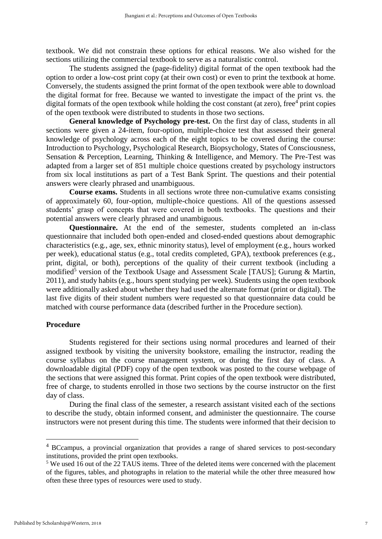textbook. We did not constrain these options for ethical reasons. We also wished for the sections utilizing the commercial textbook to serve as a naturalistic control.

The students assigned the (page-fidelity) digital format of the open textbook had the option to order a low-cost print copy (at their own cost) or even to print the textbook at home. Conversely, the students assigned the print format of the open textbook were able to download the digital format for free. Because we wanted to investigate the impact of the print vs. the digital formats of the open textbook while holding the cost constant (at zero), free<sup>4</sup> print copies of the open textbook were distributed to students in those two sections.

**General knowledge of Psychology pre-test.** On the first day of class, students in all sections were given a 24-item, four-option, multiple-choice test that assessed their general knowledge of psychology across each of the eight topics to be covered during the course: Introduction to Psychology, Psychological Research, Biopsychology, States of Consciousness, Sensation & Perception, Learning, Thinking & Intelligence, and Memory. The Pre-Test was adapted from a larger set of 851 multiple choice questions created by psychology instructors from six local institutions as part of a Test Bank Sprint. The questions and their potential answers were clearly phrased and unambiguous.

**Course exams.** Students in all sections wrote three non-cumulative exams consisting of approximately 60, four-option, multiple-choice questions. All of the questions assessed students' grasp of concepts that were covered in both textbooks. The questions and their potential answers were clearly phrased and unambiguous.

**Questionnaire.** At the end of the semester, students completed an in-class questionnaire that included both open-ended and closed-ended questions about demographic characteristics (e.g., age, sex, ethnic minority status), level of employment (e.g., hours worked per week), educational status (e.g., total credits completed, GPA), textbook preferences (e.g., print, digital, or both), perceptions of the quality of their current textbook (including a modified<sup>5</sup> version of the Textbook Usage and Assessment Scale [TAUS]; Gurung & Martin, 2011), and study habits (e.g., hours spent studying per week). Students using the open textbook were additionally asked about whether they had used the alternate format (print or digital). The last five digits of their student numbers were requested so that questionnaire data could be matched with course performance data (described further in the Procedure section).

#### **Procedure**

Students registered for their sections using normal procedures and learned of their assigned textbook by visiting the university bookstore, emailing the instructor, reading the course syllabus on the course management system, or during the first day of class. A downloadable digital (PDF) copy of the open textbook was posted to the course webpage of the sections that were assigned this format. Print copies of the open textbook were distributed, free of charge, to students enrolled in those two sections by the course instructor on the first day of class.

During the final class of the semester, a research assistant visited each of the sections to describe the study, obtain informed consent, and administer the questionnaire. The course instructors were not present during this time. The students were informed that their decision to

<u>.</u>

<sup>&</sup>lt;sup>4</sup> BCcampus, a provincial organization that provides a range of shared services to post-secondary institutions, provided the print open textbooks.

<sup>&</sup>lt;sup>5</sup> We used 16 out of the 22 TAUS items. Three of the deleted items were concerned with the placement of the figures, tables, and photographs in relation to the material while the other three measured how often these three types of resources were used to study.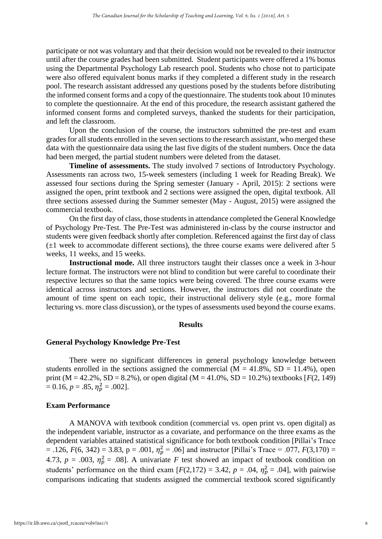participate or not was voluntary and that their decision would not be revealed to their instructor until after the course grades had been submitted. Student participants were offered a 1% bonus using the Departmental Psychology Lab research pool. Students who chose not to participate were also offered equivalent bonus marks if they completed a different study in the research pool. The research assistant addressed any questions posed by the students before distributing the informed consent forms and a copy of the questionnaire. The students took about 10 minutes to complete the questionnaire. At the end of this procedure, the research assistant gathered the informed consent forms and completed surveys, thanked the students for their participation, and left the classroom.

Upon the conclusion of the course, the instructors submitted the pre-test and exam grades for all students enrolled in the seven sections to the research assistant, who merged these data with the questionnaire data using the last five digits of the student numbers. Once the data had been merged, the partial student numbers were deleted from the dataset.

**Timeline of assessments.** The study involved 7 sections of Introductory Psychology. Assessments ran across two, 15-week semesters (including 1 week for Reading Break). We assessed four sections during the Spring semester (January - April, 2015): 2 sections were assigned the open, print textbook and 2 sections were assigned the open, digital textbook. All three sections assessed during the Summer semester (May - August, 2015) were assigned the commercial textbook.

On the first day of class, those students in attendance completed the General Knowledge of Psychology Pre-Test. The Pre-Test was administered in-class by the course instructor and students were given feedback shortly after completion. Referenced against the first day of class  $(\pm 1$  week to accommodate different sections), the three course exams were delivered after 5 weeks, 11 weeks, and 15 weeks.

**Instructional mode.** All three instructors taught their classes once a week in 3-hour lecture format. The instructors were not blind to condition but were careful to coordinate their respective lectures so that the same topics were being covered. The three course exams were identical across instructors and sections. However, the instructors did not coordinate the amount of time spent on each topic, their instructional delivery style (e.g., more formal lecturing vs. more class discussion), or the types of assessments used beyond the course exams.

#### **Results**

#### **General Psychology Knowledge Pre-Test**

There were no significant differences in general psychology knowledge between students enrolled in the sections assigned the commercial  $(M = 41.8\% , SD = 11.4\% )$ , open print (M = 42.2%, SD = 8.2%), or open digital (M = 41.0%, SD = 10.2%) textbooks [*F*(2, 149)  $= 0.16, p = .85, \eta_p^2 = .002$ .

#### **Exam Performance**

A MANOVA with textbook condition (commercial vs. open print vs. open digital) as the independent variable, instructor as a covariate, and performance on the three exams as the dependent variables attained statistical significance for both textbook condition [Pillai's Trace  $=$  .126,  $F(6, 342) = 3.83$ ,  $p = .001$ ,  $\eta_p^2 = .06$ ] and instructor [Pillai's Trace = .077,  $F(3,170) =$ 4.73,  $p = .003$ ,  $\eta_p^2 = .08$ ]. A univariate *F* test showed an impact of textbook condition on students' performance on the third exam  $[F(2,172) = 3.42, p = .04, \eta_p^2 = .04]$ , with pairwise comparisons indicating that students assigned the commercial textbook scored significantly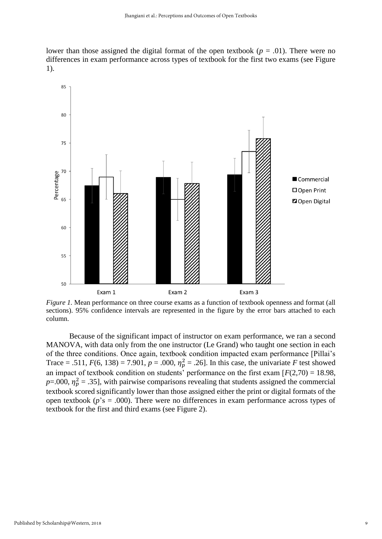lower than those assigned the digital format of the open textbook ( $p = .01$ ). There were no differences in exam performance across types of textbook for the first two exams (see Figure 1).



*Figure 1.* Mean performance on three course exams as a function of textbook openness and format (all sections). 95% confidence intervals are represented in the figure by the error bars attached to each column.

Because of the significant impact of instructor on exam performance, we ran a second MANOVA, with data only from the one instructor (Le Grand) who taught one section in each of the three conditions. Once again, textbook condition impacted exam performance [Pillai's Trace = .511,  $F(6, 138) = 7.901$ ,  $p = .000$ ,  $\eta_p^2 = .26$ . In this case, the univariate *F* test showed an impact of textbook condition on students' performance on the first exam  $[F(2,70) = 18.98]$ ,  $p=0.00$ ,  $\eta_p^2 = 0.35$ ], with pairwise comparisons revealing that students assigned the commercial textbook scored significantly lower than those assigned either the print or digital formats of the open textbook ( $p$ 's = .000). There were no differences in exam performance across types of textbook for the first and third exams (see Figure 2).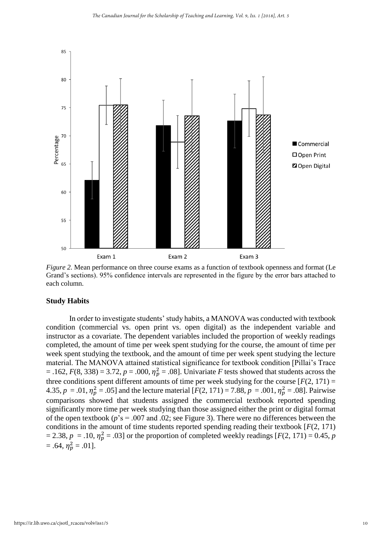

*Figure 2.* Mean performance on three course exams as a function of textbook openness and format (Le Grand's sections). 95% confidence intervals are represented in the figure by the error bars attached to each column.

#### **Study Habits**

In order to investigate students' study habits, a MANOVA was conducted with textbook condition (commercial vs. open print vs. open digital) as the independent variable and instructor as a covariate. The dependent variables included the proportion of weekly readings completed, the amount of time per week spent studying for the course, the amount of time per week spent studying the textbook, and the amount of time per week spent studying the lecture material. The MANOVA attained statistical significance for textbook condition [Pillai's Trace  $= .162, F(8, 338) = 3.72, p = .000, \eta_p^2 = .08$ . Univariate *F* tests showed that students across the three conditions spent different amounts of time per week studying for the course  $[F(2, 171) =$ 4.35,  $p = .01$ ,  $\eta_p^2 = .05$  and the lecture material  $[F(2, 171) = 7.88, p = .001, \eta_p^2 = .08]$ . Pairwise comparisons showed that students assigned the commercial textbook reported spending significantly more time per week studying than those assigned either the print or digital format of the open textbook (*p*'s = .007 and .02; see Figure 3). There were no differences between the conditions in the amount of time students reported spending reading their textbook [*F*(2, 171)  $= 2.38, p = .10, \eta_p^2 = .03$  or the proportion of completed weekly readings [ $F(2, 171) = 0.45, p$  $= .64, \eta_p^2 = .01$ .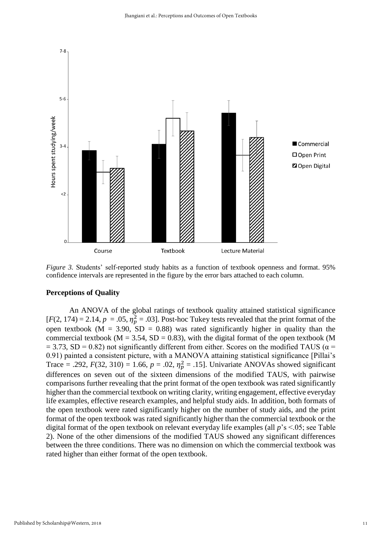

*Figure 3.* Students' self-reported study habits as a function of textbook openness and format. 95% confidence intervals are represented in the figure by the error bars attached to each column.

## **Perceptions of Quality**

An ANOVA of the global ratings of textbook quality attained statistical significance  $[F(2, 174) = 2.14, p = .05, \eta_p^2 = .03]$ . Post-hoc Tukey tests revealed that the print format of the open textbook ( $M = 3.90$ ,  $SD = 0.88$ ) was rated significantly higher in quality than the commercial textbook ( $M = 3.54$ ,  $SD = 0.83$ ), with the digital format of the open textbook (M  $= 3.73$ , SD = 0.82) not significantly different from either. Scores on the modified TAUS ( $\alpha$  = 0.91) painted a consistent picture, with a MANOVA attaining statistical significance [Pillai's Trace = .292,  $F(32, 310) = 1.66$ ,  $p = .02$ ,  $\eta_p^2 = .15$ . Univariate ANOVAs showed significant differences on seven out of the sixteen dimensions of the modified TAUS, with pairwise comparisons further revealing that the print format of the open textbook was rated significantly higher than the commercial textbook on writing clarity, writing engagement, effective everyday life examples, effective research examples, and helpful study aids. In addition, both formats of the open textbook were rated significantly higher on the number of study aids, and the print format of the open textbook was rated significantly higher than the commercial textbook or the digital format of the open textbook on relevant everyday life examples (all *p*'s <.05; see Table 2). None of the other dimensions of the modified TAUS showed any significant differences between the three conditions. There was no dimension on which the commercial textbook was rated higher than either format of the open textbook.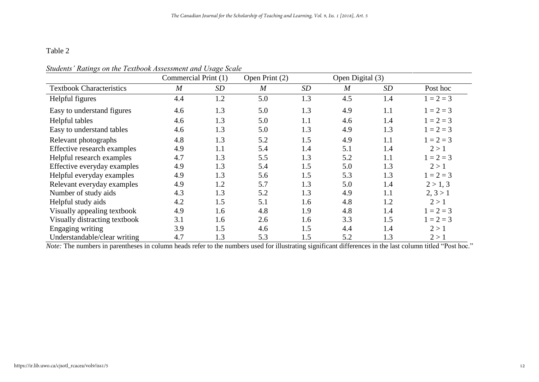## Table 2

|                                 | Commercial Print (1) |     | Open Print (2) | Open Digital (3) |                |           |             |
|---------------------------------|----------------------|-----|----------------|------------------|----------------|-----------|-------------|
| <b>Textbook Characteristics</b> | $\boldsymbol{M}$     | SD  | $\overline{M}$ | <b>SD</b>        | $\overline{M}$ | <b>SD</b> | Post hoc    |
| Helpful figures                 | 4.4                  | 1.2 | 5.0            | 1.3              | 4.5            | 1.4       | $1 = 2 = 3$ |
| Easy to understand figures      | 4.6                  | 1.3 | 5.0            | 1.3              | 4.9            | 1.1       | $1 = 2 = 3$ |
| Helpful tables                  | 4.6                  | 1.3 | 5.0            | 1.1              | 4.6            | 1.4       | $1 = 2 = 3$ |
| Easy to understand tables       | 4.6                  | 1.3 | 5.0            | 1.3              | 4.9            | 1.3       | $1 = 2 = 3$ |
| Relevant photographs            | 4.8                  | 1.3 | 5.2            | 1.5              | 4.9            | 1.1       | $1 = 2 = 3$ |
| Effective research examples     | 4.9                  | 1.1 | 5.4            | 1.4              | 5.1            | 1.4       | 2 > 1       |
| Helpful research examples       | 4.7                  | 1.3 | 5.5            | 1.3              | 5.2            | 1.1       | $1 = 2 = 3$ |
| Effective everyday examples     | 4.9                  | 1.3 | 5.4            | 1.5              | 5.0            | 1.3       | 2 > 1       |
| Helpful everyday examples       | 4.9                  | 1.3 | 5.6            | 1.5              | 5.3            | 1.3       | $1 = 2 = 3$ |
| Relevant everyday examples      | 4.9                  | 1.2 | 5.7            | 1.3              | 5.0            | 1.4       | 2 > 1, 3    |
| Number of study aids            | 4.3                  | 1.3 | 5.2            | 1.3              | 4.9            | 1.1       | 2, 3 > 1    |
| Helpful study aids              | 4.2                  | 1.5 | 5.1            | 1.6              | 4.8            | 1.2       | 2 > 1       |
| Visually appealing textbook     | 4.9                  | 1.6 | 4.8            | 1.9              | 4.8            | 1.4       | $1 = 2 = 3$ |
| Visually distracting textbook   | 3.1                  | 1.6 | 2.6            | 1.6              | 3.3            | 1.5       | $1 = 2 = 3$ |
| Engaging writing                | 3.9                  | 1.5 | 4.6            | 1.5              | 4.4            | 1.4       | 2 > 1       |
| Understandable/clear writing    | 4.7                  | 1.3 | 5.3            | 1.5              | 5.2            | 1.3       | 2 > 1       |

*Note:* The numbers in parentheses in column heads refer to the numbers used for illustrating significant differences in the last column titled "Post hoc."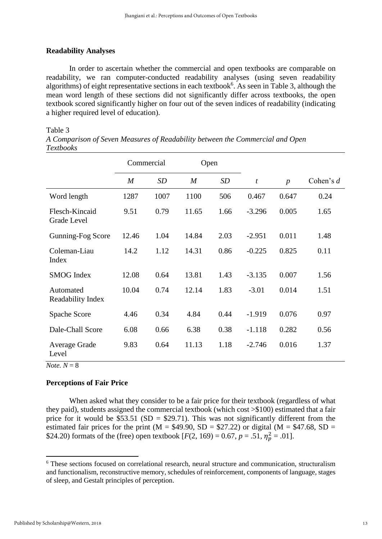## **Readability Analyses**

In order to ascertain whether the commercial and open textbooks are comparable on readability, we ran computer-conducted readability analyses (using seven readability algorithms) of eight representative sections in each textbook<sup>6</sup>. As seen in Table 3, although the mean word length of these sections did not significantly differ across textbooks, the open textbook scored significantly higher on four out of the seven indices of readability (indicating a higher required level of education).

#### Table 3

*A Comparison of Seven Measures of Readability between the Commercial and Open Textbooks*

|                                | Commercial       |      | Open             |      |                  |                  |             |
|--------------------------------|------------------|------|------------------|------|------------------|------------------|-------------|
|                                | $\boldsymbol{M}$ | SD   | $\boldsymbol{M}$ | SD   | $\boldsymbol{t}$ | $\boldsymbol{p}$ | Cohen's $d$ |
| Word length                    | 1287             | 1007 | 1100             | 506  | 0.467            | 0.647            | 0.24        |
| Flesch-Kincaid<br>Grade Level  | 9.51             | 0.79 | 11.65            | 1.66 | $-3.296$         | 0.005            | 1.65        |
| Gunning-Fog Score              | 12.46            | 1.04 | 14.84            | 2.03 | $-2.951$         | 0.011            | 1.48        |
| Coleman-Liau<br>Index          | 14.2             | 1.12 | 14.31            | 0.86 | $-0.225$         | 0.825            | 0.11        |
| <b>SMOG</b> Index              | 12.08            | 0.64 | 13.81            | 1.43 | $-3.135$         | 0.007            | 1.56        |
| Automated<br>Readability Index | 10.04            | 0.74 | 12.14            | 1.83 | $-3.01$          | 0.014            | 1.51        |
| Spache Score                   | 4.46             | 0.34 | 4.84             | 0.44 | $-1.919$         | 0.076            | 0.97        |
| Dale-Chall Score               | 6.08             | 0.66 | 6.38             | 0.38 | $-1.118$         | 0.282            | 0.56        |
| Average Grade<br>Level         | 9.83             | 0.64 | 11.13            | 1.18 | $-2.746$         | 0.016            | 1.37        |

 $$ 

## **Perceptions of Fair Price**

When asked what they consider to be a fair price for their textbook (regardless of what they paid), students assigned the commercial textbook (which cost >\$100) estimated that a fair price for it would be \$53.51 (SD = \$29.71). This was not significantly different from the estimated fair prices for the print (M =  $$49.90, SD = $27.22$ ) or digital (M = \$47.68, SD = \$24.20) formats of the (free) open textbook  $[F(2, 169) = 0.67, p = .51, \eta_p^2 = .01]$ .

<sup>6</sup> These sections focused on correlational research, neural structure and communication, structuralism and functionalism, reconstructive memory, schedules of reinforcement, components of language, stages of sleep, and Gestalt principles of perception.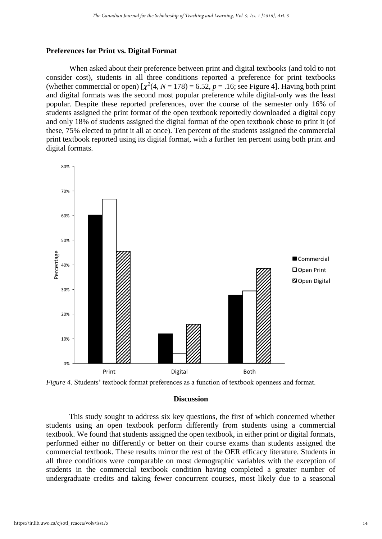#### **Preferences for Print vs. Digital Format**

When asked about their preference between print and digital textbooks (and told to not consider cost), students in all three conditions reported a preference for print textbooks (whether commercial or open)  $[\chi^2(4, N = 178) = 6.52, p = .16$ ; see Figure 4]. Having both print and digital formats was the second most popular preference while digital-only was the least popular. Despite these reported preferences, over the course of the semester only 16% of students assigned the print format of the open textbook reportedly downloaded a digital copy and only 18% of students assigned the digital format of the open textbook chose to print it (of these, 75% elected to print it all at once). Ten percent of the students assigned the commercial print textbook reported using its digital format, with a further ten percent using both print and digital formats.





#### **Discussion**

This study sought to address six key questions, the first of which concerned whether students using an open textbook perform differently from students using a commercial textbook. We found that students assigned the open textbook, in either print or digital formats, performed either no differently or better on their course exams than students assigned the commercial textbook. These results mirror the rest of the OER efficacy literature. Students in all three conditions were comparable on most demographic variables with the exception of students in the commercial textbook condition having completed a greater number of undergraduate credits and taking fewer concurrent courses, most likely due to a seasonal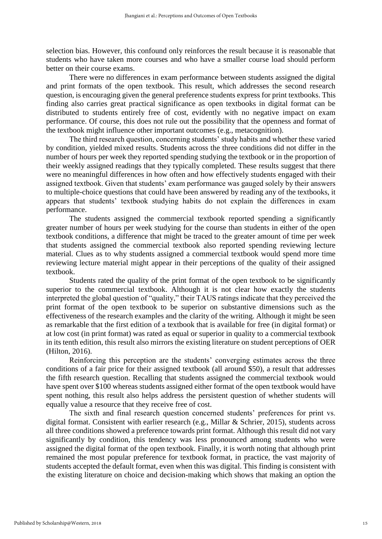selection bias. However, this confound only reinforces the result because it is reasonable that students who have taken more courses and who have a smaller course load should perform better on their course exams.

There were no differences in exam performance between students assigned the digital and print formats of the open textbook. This result, which addresses the second research question, is encouraging given the general preference students express for print textbooks. This finding also carries great practical significance as open textbooks in digital format can be distributed to students entirely free of cost, evidently with no negative impact on exam performance. Of course, this does not rule out the possibility that the openness and format of the textbook might influence other important outcomes (e.g., metacognition).

The third research question, concerning students' study habits and whether these varied by condition, yielded mixed results. Students across the three conditions did not differ in the number of hours per week they reported spending studying the textbook or in the proportion of their weekly assigned readings that they typically completed. These results suggest that there were no meaningful differences in how often and how effectively students engaged with their assigned textbook. Given that students' exam performance was gauged solely by their answers to multiple-choice questions that could have been answered by reading any of the textbooks, it appears that students' textbook studying habits do not explain the differences in exam performance.

The students assigned the commercial textbook reported spending a significantly greater number of hours per week studying for the course than students in either of the open textbook conditions, a difference that might be traced to the greater amount of time per week that students assigned the commercial textbook also reported spending reviewing lecture material. Clues as to why students assigned a commercial textbook would spend more time reviewing lecture material might appear in their perceptions of the quality of their assigned textbook.

Students rated the quality of the print format of the open textbook to be significantly superior to the commercial textbook. Although it is not clear how exactly the students interpreted the global question of "quality," their TAUS ratings indicate that they perceived the print format of the open textbook to be superior on substantive dimensions such as the effectiveness of the research examples and the clarity of the writing. Although it might be seen as remarkable that the first edition of a textbook that is available for free (in digital format) or at low cost (in print format) was rated as equal or superior in quality to a commercial textbook in its tenth edition, this result also mirrors the existing literature on student perceptions of OER (Hilton, 2016).

Reinforcing this perception are the students' converging estimates across the three conditions of a fair price for their assigned textbook (all around \$50), a result that addresses the fifth research question. Recalling that students assigned the commercial textbook would have spent over \$100 whereas students assigned either format of the open textbook would have spent nothing, this result also helps address the persistent question of whether students will equally value a resource that they receive free of cost.

The sixth and final research question concerned students' preferences for print vs. digital format. Consistent with earlier research (e.g., Millar & Schrier, 2015), students across all three conditions showed a preference towards print format. Although this result did not vary significantly by condition, this tendency was less pronounced among students who were assigned the digital format of the open textbook. Finally, it is worth noting that although print remained the most popular preference for textbook format, in practice, the vast majority of students accepted the default format, even when this was digital. This finding is consistent with the existing literature on choice and decision-making which shows that making an option the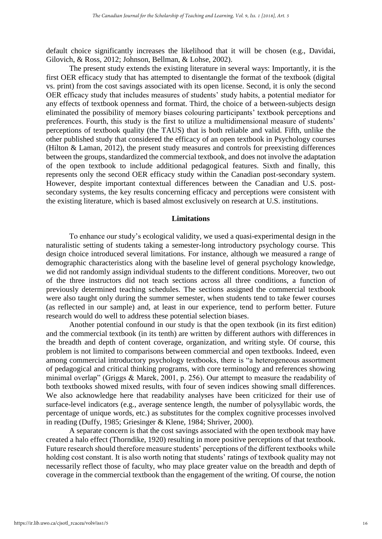default choice significantly increases the likelihood that it will be chosen (e.g., Davidai, Gilovich, & Ross, 2012; Johnson, Bellman, & Lohse, 2002).

The present study extends the existing literature in several ways: Importantly, it is the first OER efficacy study that has attempted to disentangle the format of the textbook (digital vs. print) from the cost savings associated with its open license. Second, it is only the second OER efficacy study that includes measures of students' study habits, a potential mediator for any effects of textbook openness and format. Third, the choice of a between-subjects design eliminated the possibility of memory biases colouring participants' textbook perceptions and preferences. Fourth, this study is the first to utilize a multidimensional measure of students' perceptions of textbook quality (the TAUS) that is both reliable and valid. Fifth, unlike the other published study that considered the efficacy of an open textbook in Psychology courses (Hilton & Laman, 2012), the present study measures and controls for preexisting differences between the groups, standardized the commercial textbook, and does not involve the adaptation of the open textbook to include additional pedagogical features. Sixth and finally, this represents only the second OER efficacy study within the Canadian post-secondary system. However, despite important contextual differences between the Canadian and U.S. postsecondary systems, the key results concerning efficacy and perceptions were consistent with the existing literature, which is based almost exclusively on research at U.S. institutions.

#### **Limitations**

To enhance our study's ecological validity, we used a quasi-experimental design in the naturalistic setting of students taking a semester-long introductory psychology course. This design choice introduced several limitations. For instance, although we measured a range of demographic characteristics along with the baseline level of general psychology knowledge, we did not randomly assign individual students to the different conditions. Moreover, two out of the three instructors did not teach sections across all three conditions, a function of previously determined teaching schedules. The sections assigned the commercial textbook were also taught only during the summer semester, when students tend to take fewer courses (as reflected in our sample) and, at least in our experience, tend to perform better. Future research would do well to address these potential selection biases.

Another potential confound in our study is that the open textbook (in its first edition) and the commercial textbook (in its tenth) are written by different authors with differences in the breadth and depth of content coverage, organization, and writing style. Of course, this problem is not limited to comparisons between commercial and open textbooks. Indeed, even among commercial introductory psychology textbooks, there is "a heterogeneous assortment of pedagogical and critical thinking programs, with core terminology and references showing minimal overlap" (Griggs & Marek, 2001, p. 256). Our attempt to measure the readability of both textbooks showed mixed results, with four of seven indices showing small differences. We also acknowledge here that readability analyses have been criticized for their use of surface-level indicators (e.g., average sentence length, the number of polysyllabic words, the percentage of unique words, etc.) as substitutes for the complex cognitive processes involved in reading (Duffy, 1985; Griesinger & Klene, 1984; Shriver, 2000).

A separate concern is that the cost savings associated with the open textbook may have created a halo effect (Thorndike, 1920) resulting in more positive perceptions of that textbook. Future research should therefore measure students' perceptions of the different textbooks while holding cost constant. It is also worth noting that students' ratings of textbook quality may not necessarily reflect those of faculty, who may place greater value on the breadth and depth of coverage in the commercial textbook than the engagement of the writing. Of course, the notion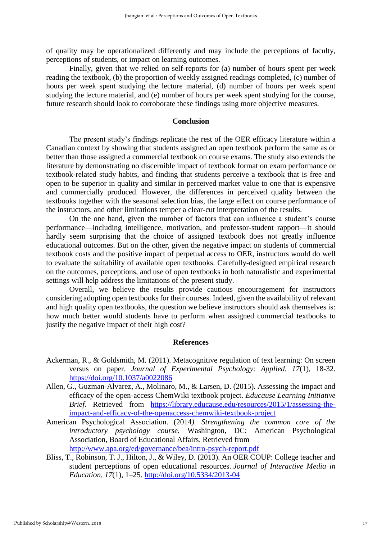of quality may be operationalized differently and may include the perceptions of faculty, perceptions of students, or impact on learning outcomes.

Finally, given that we relied on self-reports for (a) number of hours spent per week reading the textbook, (b) the proportion of weekly assigned readings completed, (c) number of hours per week spent studying the lecture material, (d) number of hours per week spent studying the lecture material, and (e) number of hours per week spent studying for the course, future research should look to corroborate these findings using more objective measures.

## **Conclusion**

The present study's findings replicate the rest of the OER efficacy literature within a Canadian context by showing that students assigned an open textbook perform the same as or better than those assigned a commercial textbook on course exams. The study also extends the literature by demonstrating no discernible impact of textbook format on exam performance or textbook-related study habits, and finding that students perceive a textbook that is free and open to be superior in quality and similar in perceived market value to one that is expensive and commercially produced. However, the differences in perceived quality between the textbooks together with the seasonal selection bias, the large effect on course performance of the instructors, and other limitations temper a clear-cut interpretation of the results.

On the one hand, given the number of factors that can influence a student's course performance—including intelligence, motivation, and professor-student rapport—it should hardly seem surprising that the choice of assigned textbook does not greatly influence educational outcomes. But on the other, given the negative impact on students of commercial textbook costs and the positive impact of perpetual access to OER, instructors would do well to evaluate the suitability of available open textbooks. Carefully-designed empirical research on the outcomes, perceptions, and use of open textbooks in both naturalistic and experimental settings will help address the limitations of the present study.

Overall, we believe the results provide cautious encouragement for instructors considering adopting open textbooks for their courses. Indeed, given the availability of relevant and high quality open textbooks, the question we believe instructors should ask themselves is: how much better would students have to perform when assigned commercial textbooks to justify the negative impact of their high cost?

#### **References**

- Ackerman, R., & Goldsmith, M. (2011). Metacognitive regulation of text learning: On screen versus on paper. *Journal of Experimental Psychology: Applied, 17*(1), 18-32. <https://doi.org/10.1037/a0022086>
- Allen, G., Guzman-Alvarez, A., Molinaro, M., & Larsen, D. (2015). Assessing the impact and efficacy of the open-access ChemWiki textbook project. *Educause Learning Initiative Brief.* Retrieved from [https://library.educause.edu/resources/2015/1/assessing-the](https://library.educause.edu/resources/2015/1/assessing-the-impact-and-efficacy-of-the-openaccess-chemwiki-textbook-project)[impact-and-efficacy-of-the-openaccess-chemwiki-textbook-project](https://library.educause.edu/resources/2015/1/assessing-the-impact-and-efficacy-of-the-openaccess-chemwiki-textbook-project)
- American Psychological Association. (2014*). Strengthening the common core of the introductory psychology course.* Washington, DC: American Psychological Association, Board of Educational Affairs. Retrieved from <http://www.apa.org/ed/governance/bea/intro-psych-report.pdf>
- Bliss, T., Robinson, T. J., Hilton, J., & Wiley, D. (2013). An OER COUP: College teacher and student perceptions of open educational resources. *Journal of Interactive Media in Education, 17*(1), 1–25. <http://doi.org/10.5334/2013-04>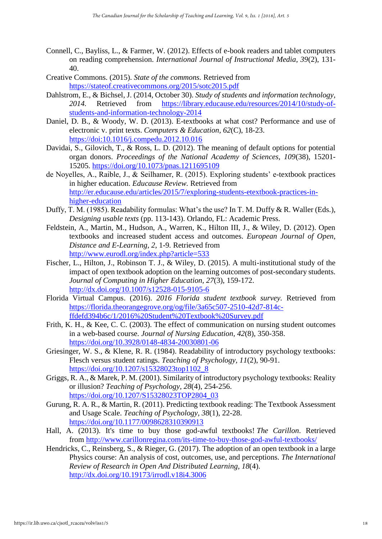- Connell, C., Bayliss, L., & Farmer, W. (2012). Effects of e-book readers and tablet computers on reading comprehension. *International Journal of Instructional Media, 39*(2), 131- 40.
- Creative Commons. (2015). *State of the commons.* Retrieved from <https://stateof.creativecommons.org/2015/sotc2015.pdf>
- Dahlstrom, E., & Bichsel, J. (2014, October 30). *Study of students and information technology, 2014.* Retrieved from [https://library.educause.edu/resources/2014/10/study-of](https://library.educause.edu/resources/2014/10/study-of-students-and-information-technology-2014)[students-and-information-technology-2014](https://library.educause.edu/resources/2014/10/study-of-students-and-information-technology-2014)
- Daniel, D. B., & Woody, W. D. (2013). E-textbooks at what cost? Performance and use of electronic v. print texts. *Computers & Education, 62*(C), 18-23. <https://doi:10.1016/j.compedu.2012.10.016>
- Davidai, S., Gilovich, T., & Ross, L. D. (2012). The meaning of default options for potential organ donors. *Proceedings of the National Academy of Sciences, 109*(38), 15201- 15205.<https://doi.org/10.1073/pnas.1211695109>
- de Noyelles, A., Raible, J., & Seilhamer, R. (2015). Exploring students' e-textbook practices in higher education. *Educause Review.* Retrieved from [http://er.educause.edu/articles/2015/7/exploring-students-etextbook-practices-in](http://er.educause.edu/articles/2015/7/exploring-students-etextbook-practices-in-higher-education)[higher-education](http://er.educause.edu/articles/2015/7/exploring-students-etextbook-practices-in-higher-education)
- Duffy, T. M. (1985). Readability formulas: What's the use? In T. M. Duffy & R. Waller (Eds.), *Designing usable texts* (pp. 113-143). Orlando, FL: Academic Press.
- Feldstein, A., Martin, M., Hudson, A., Warren, K., Hilton III, J., & Wiley, D. (2012). Open textbooks and increased student access and outcomes. *European Journal of Open, Distance and E-Learning, 2*, 1-9*.* Retrieved from <http://www.eurodl.org/index.php?article=533>
- Fischer, L., Hilton, J., Robinson T. J., & Wiley, D. (2015). A multi-institutional study of the impact of open textbook adoption on the learning outcomes of post-secondary students. *Journal of Computing in Higher Education, 27*(3), 159-172. <http://dx.doi.org/10.1007/s12528-015-9105-6>
- Florida Virtual Campus. (2016). *2016 Florida student textbook survey.* Retrieved from [https://florida.theorangegrove.org/og/file/3a65c507-2510-42d7-814c](https://florida.theorangegrove.org/og/file/3a65c507-2510-42d7-814c-ffdefd394b6c/1/2016%20Student%20Textbook%20Survey.pdf)[ffdefd394b6c/1/2016%20Student%20Textbook%20Survey.pdf](https://florida.theorangegrove.org/og/file/3a65c507-2510-42d7-814c-ffdefd394b6c/1/2016%20Student%20Textbook%20Survey.pdf)
- Frith, K. H., & Kee, C. C. (2003). The effect of communication on nursing student outcomes in a web-based course. *Journal of Nursing Education, 42*(8), 350-358. <https://doi.org/10.3928/0148-4834-20030801-06>
- Griesinger, W. S., & Klene, R. R. (1984). Readability of introductory psychology textbooks: Flesch versus student ratings. *Teaching of Psychology, 11*(2), 90-91. [https://doi.org/10.1207/s15328023top1102\\_8](https://doi.org/10.1207/s15328023top1102_8)
- Griggs, R. A., & Marek, P. M. (2001). Similarity of introductory psychology textbooks: Reality or illusion? *Teaching of Psychology, 28*(4), 254-256. [https://doi.org/10.1207/S15328023TOP2804\\_03](https://doi.org/10.1207/S15328023TOP2804_03)
- Gurung, R. A. R., & Martin, R. (2011). Predicting textbook reading: The Textbook Assessment and Usage Scale. *Teaching of Psychology, 38*(1), 22-28. <https://doi.org/10.1177/0098628310390913>
- Hall, A. (2013). It's time to buy those god-awful textbooks! *The Carillon*. Retrieved from <http://www.carillonregina.com/its-time-to-buy-those-god-awful-textbooks/>
- Hendricks, C., Reinsberg, S., & Rieger, G. (2017). The adoption of an open textbook in a large Physics course: An analysis of cost, outcomes, use, and perceptions. *The International Review of Research in Open And Distributed Learning*, *18*(4). <http://dx.doi.org/10.19173/irrodl.v18i4.3006>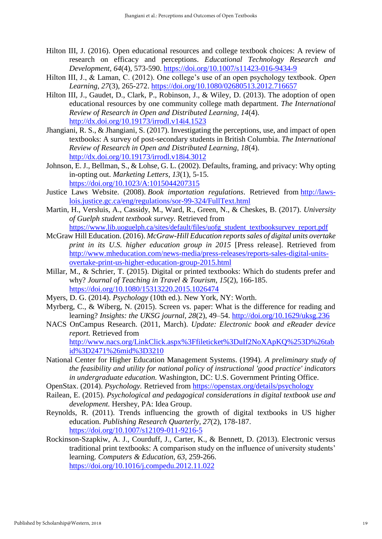- Hilton III, J. (2016). Open educational resources and college textbook choices: A review of research on efficacy and perceptions. *Educational Technology Research and Development, 64*(4), 573-590.<https://doi.org/10.1007/s11423-016-9434-9>
- Hilton III, J., & Laman, C. (2012). One college's use of an open psychology textbook. *Open Learning, 27*(3), 265-272.<https://doi.org/10.1080/02680513.2012.716657>
- Hilton III, J., Gaudet, D., Clark, P., Robinson, J., & Wiley, D. (2013). The adoption of open educational resources by one community college math department. *The International Review of Research in Open and Distributed Learning, 14*(4). <http://dx.doi.org/10.19173/irrodl.v14i4.1523>
- Jhangiani, R. S., & Jhangiani, S. (2017). Investigating the perceptions, use, and impact of open textbooks: A survey of post-secondary students in British Columbia. *The International Review of Research in Open and Distributed Learning, 18*(4). <http://dx.doi.org/10.19173/irrodl.v18i4.3012>
- Johnson, E. J., Bellman, S., & Lohse, G. L. (2002). Defaults, framing, and privacy: Why opting in-opting out. *Marketing Letters, 13*(1), 5-15. <https://doi.org/10.1023/A:1015044207315>
- Justice Laws Website. (2008). *Book importation regulations*. Retrieved from [http://laws](http://laws-lois.justice.gc.ca/eng/regulations/sor-99-324/FullText.html)[lois.justice.gc.ca/eng/regulations/sor-99-324/FullText.html](http://laws-lois.justice.gc.ca/eng/regulations/sor-99-324/FullText.html)
- Martin, H., Versluis, A., Cassidy, M., Ward, R., Green, N., & Cheskes, B. (2017). *University of Guelph student textbook survey.* Retrieved from [https://www.lib.uoguelph.ca/sites/default/files/uofg\\_student\\_textbooksurvey\\_report.pdf](https://www.lib.uoguelph.ca/sites/default/files/uofg_student_textbooksurvey_report.pdf)
- McGraw Hill Education. (2016). *McGraw-Hill Education reports sales of digital units overtake print in its U.S. higher education group in 2015* [Press release]. Retrieved from [http://www.mheducation.com/news-media/press-releases/reports-sales-digital-units](http://www.mheducation.com/news-media/press-releases/reports-sales-digital-units-overtake-print-us-higher-education-group-2015.html)[overtake-print-us-higher-education-group-2015.html](http://www.mheducation.com/news-media/press-releases/reports-sales-digital-units-overtake-print-us-higher-education-group-2015.html)
- Millar, M., & Schrier, T. (2015). Digital or printed textbooks: Which do students prefer and why? *Journal of Teaching in Travel & Tourism, 15*(2), 166-185. <https://doi.org/10.1080/15313220.2015.1026474>
- Myers, D. G. (2014). *Psychology* (10th ed.). New York, NY: Worth.
- Myrberg, C., & Wiberg, N. (2015). Screen vs. paper: What is the difference for reading and learning? *Insights: the UKSG journal, 28*(2), 49–54.<http://doi.org/10.1629/uksg.236>
- NACS OnCampus Research. (2011, March). *Update: Electronic book and eReader device report.* Retrieved from [http://www.nacs.org/LinkClick.aspx%3Ffileticket%3DuIf2NoXApKQ%253D%26tab](http://www.nacs.org/LinkClick.aspx%3Ffileticket%3DuIf2NoXApKQ%253D%26tabid%3D2471%26mid%3D3210) [id%3D2471%26mid%3D3210](http://www.nacs.org/LinkClick.aspx%3Ffileticket%3DuIf2NoXApKQ%253D%26tabid%3D2471%26mid%3D3210)
- National Center for Higher Education Management Systems. (1994). *A preliminary study of the feasibility and utility for national policy of instructional 'good practice' indicators in undergraduate education.* Washington, DC: U.S. Government Printing Office.
- OpenStax. (2014). *Psychology.* Retrieved from<https://openstax.org/details/psychology>
- Railean, E. (2015). *Psychological and pedagogical considerations in digital textbook use and development.* Hershey, PA: Idea Group.
- Reynolds, R. (2011). Trends influencing the growth of digital textbooks in US higher education. *Publishing Research Quarterly, 27*(2), 178-187. <https://doi.org/10.1007/s12109-011-9216-5>
- Rockinson-Szapkiw, A. J., Courduff, J., Carter, K., & Bennett, D. (2013). Electronic versus traditional print textbooks: A comparison study on the influence of university students' learning. *Computers & Education, 63*, 259-266. <https://doi.org/10.1016/j.compedu.2012.11.022>